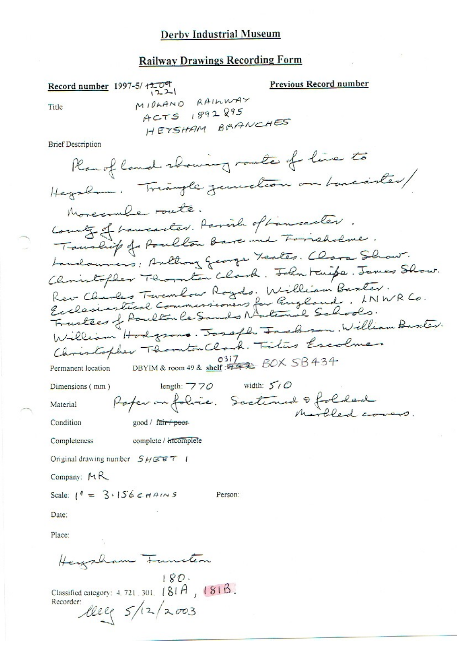#### Derby Industrial Museum

## **Railway Drawings Recording Form**

Previous Record number Record number 1997-5/1209  $1221$ MIDLAND RAILWAY Title ACTS 1892895 HEYSHAM BRANCHES **Brief Description** Plan of land showing route of live to Heyslam. Triangle zemechon on bancanter/ Morecoule route. County of haucenter. Parish of Lancaster. Townlif of Poulton Bare and Forrisholme. Landouniers: Anthony George Teates. Clora Show. Christopher Thornton Clark. John Knife. James Show. Rev Cliences Tevenlow Royds. William Baxter.<br>Ecclesiastical Communiconers for England. LNWR Co.<br>Frustees of Poulton le Sands National Schools. William Hodgsons. Joseph Jackson. William Baseter. Christopher Thomton Clark. Tilus Escolner 0317<br>DBYIM & room 49 & shelf: #42 BOX SB434 Permanent location length:  $770$  width:  $500$ Dimensions (mm) Rofer on folice. Sectioned & folded Material Condition good / fair poor Completeness complete / incomplete Original drawing number  $S H \subseteq F$  / Company: MR Scale:  $1^4 = 3.156cm$ AINS Person: Date: Place: Heizzham Function  $180.$ Classified category:  $4.721.301.$   $(81A, 181B)$ Recorder: leeg 5/12/2003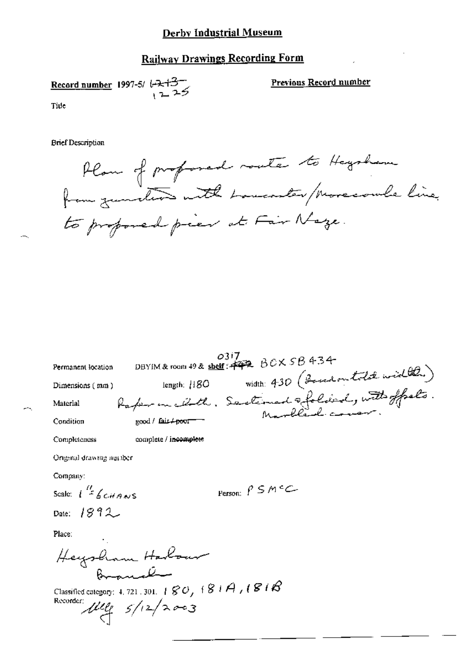## Derby Industrial Museum

# **Railway Drawings Recording Form**

Record number 1997-5/ $\leftarrow 13^{-}$ 

Previous Record number

Tide

**Brief Description** 

Plan of profoned rate to Hagsham to proposed pier at Fair Nege.

| Permanent location                                                                                                                                                                   | 0317<br>DBYIM & room 49 & shelf: $443 60 \times 58434$                                           |
|--------------------------------------------------------------------------------------------------------------------------------------------------------------------------------------|--------------------------------------------------------------------------------------------------|
| Dimensions (mm)                                                                                                                                                                      |                                                                                                  |
| Material                                                                                                                                                                             |                                                                                                  |
| Condition                                                                                                                                                                            | length: H80 width: 430 (Bossel on told width)<br>Rafer on choth, Sactimed sfolded, with offsets. |
| Completeness                                                                                                                                                                         | complete / incomplete                                                                            |
| Original drawing number                                                                                                                                                              |                                                                                                  |
| Company:                                                                                                                                                                             |                                                                                                  |
| Scale: $\int_{0}^{H}$ 6 c it a N S                                                                                                                                                   | Person: $\beta \leq M \in C$                                                                     |
| Date: $1892$                                                                                                                                                                         |                                                                                                  |
| Place:                                                                                                                                                                               |                                                                                                  |
| Heysham Harbour<br>سسلنگ میدهد                                                                                                                                                       |                                                                                                  |
| Classified category: 4, 721 , 301, $+$ $\mathcal{C}\mathcal{O}_f$ $+$ $\mathcal{S}$ $+$ $\mathcal{A}_f$ $+$ $\mathcal{C}$ $+$ $\mathcal{C}$<br>Recorder:<br>$\mu_{\ell}$ $s/12/2003$ |                                                                                                  |